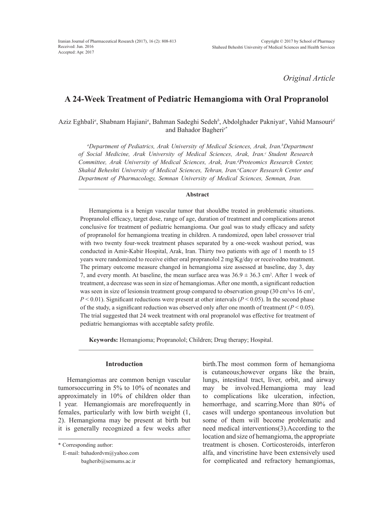*Original Article*

# **A 24-Week Treatment of Pediatric Hemangioma with Oral Propranolol**

Aziz Eghbali<sup>a</sup>, Shabnam Hajiani<sup>a</sup>, Bahman Sadeghi Sedeh<sup>b</sup>, Abdolghader Pakniyat<sup>c</sup>, Vahid Mansouri<sup>a</sup> and Bahador Bagheri*<sup>e</sup>*\*

<sup>*a*</sup>Department of Pediatrics, Arak University of Medical Sciences, Arak, Iran.<sup>b</sup>Department of Social Medicine, Arak University of Medical Sciences, Arak, Iran.<sup>c</sup> Student Research Committee, Arak University of Medical Sciences, Arak, Iran.<sup>d</sup>Proteomics Research Center, Shahid Beheshti University of Medical Sciences, Tehran, Iran.<sup>e</sup>Cancer Research Center and *Department of Pharmacology, Semnan University of Medical Sciences, Semnan, Iran.*

## **Abstract**

Hemangioma is a benign vascular tumor that shouldbe treated in problematic situations. Propranolol efficacy, target dose, range of age, duration of treatment and complications arenot conclusive for treatment of pediatric hemangioma. Our goal was to study efficacy and safety of propranolol for hemangioma treating in children. A randomized, open label crossover trial with two twenty four-week treatment phases separated by a one-week washout period, was conducted in Amir-Kabir Hospital, Arak, Iran. Thirty two patients with age of 1 month to 15 years were randomized to receive either oral propranolol 2 mg/Kg/day or receivedno treatment. The primary outcome measure changed in hemangioma size assessed at baseline, day 3, day 7, and every month. At baseline, the mean surface area was  $36.9 \pm 36.3$  cm<sup>2</sup>. After 1 week of treatment, a decrease was seen in size of hemangiomas. After one month, a significant reduction was seen in size of lesionsin treatment group compared to observation group (30 cm<sup>2</sup> vs 16 cm<sup>2</sup>,  $P < 0.01$ ). Significant reductions were present at other intervals ( $P < 0.05$ ). In the second phase of the study, a significant reduction was observed only after one month of treatment  $(P < 0.05)$ . The trial suggested that 24 week treatment with oral propranolol was effective for treatment of pediatric hemangiomas with acceptable safety profile.

**Keywords:** Hemangioma; Propranolol; Children; Drug therapy; Hospital.

#### **Introduction**

Hemangiomas are common benign vascular tumorsoccurring in 5% to 10% of neonates and approximately in 10% of children older than 1 year. Hemangiomais are morefrequently in females, particularly with low birth weight (1, 2). Hemangioma may be present at birth but it is generally recognized a few weeks after birth.The most common form of hemangioma is cutaneous;however organs like the brain, lungs, intestinal tract, liver, orbit, and airway may be involved.Hemangioma may lead to complications like ulceration, infection, hemorrhage, and scarring.More than 80% of cases will undergo spontaneous involution but some of them will become problematic and need medical interventions(3).According to the location and size of hemangioma, the appropriate treatment is chosen. Corticosteroids, interferon alfa, and vincristine have been extensively used for complicated and refractory hemangiomas,

<sup>\*</sup> Corresponding author:

E-mail: bahadordvm@yahoo.com bagherib@semums.ac.ir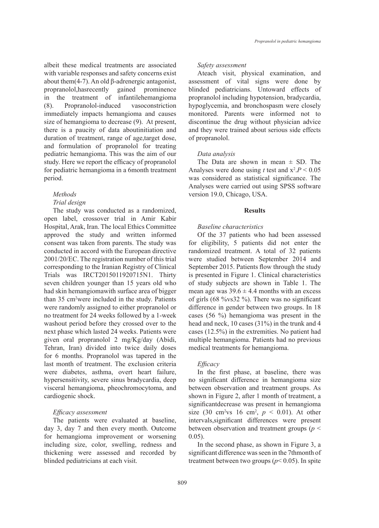albeit these medical treatments are associated with variable responses and safety concerns exist about them $(4-7)$ . An old β-adrenergic antagonist, propranolol,hasrecently gained prominence in the treatment of infantilehemangioma (8). Propranolol-induced vasoconstriction immediately impacts hemangioma and causes size of hemangioma to decrease (9). At present, there is a paucity of data aboutinitiation and duration of treatment, range of age,target dose, and formulation of propranolol for treating pediatric hemangioma. This was the aim of our study. Here we report the efficacy of propranolol for pediatric hemangioma in a 6month treatment period.

# *Methods*

# *Trial design*

The study was conducted as a randomized, open label, crossover trial in Amir Kabir Hospital, Arak, Iran. The local Ethics Committee approved the study and written informed consent was taken from parents. The study was conducted in accord with the European directive 2001/20/EC. The registration number of this trial corresponding to the Iranian Registry of Clinical Trials was IRCT2015011920715N1. Thirty seven children younger than 15 years old who had skin hemangiomawith surface area of bigger than 35 cm2 were included in the study. Patients were randomly assigned to either propranolol or no treatment for 24 weeks followed by a 1-week washout period before they crossed over to the next phase which lasted 24 weeks. Patients were given oral propranolol 2 mg/Kg/day (Abidi, Tehran, Iran) divided into twice daily doses for 6 months. Propranolol was tapered in the last month of treatment. The exclusion criteria were diabetes, asthma, overt heart failure, hypersensitivity, severe sinus bradycardia, deep visceral hemangioma, pheochromocytoma, and cardiogenic shock.

## *Efficacy assessment*

The patients were evaluated at baseline, day 3, day 7 and then every month. Outcome for hemangioma improvement or worsening including size, color, swelling, redness and thickening were assessed and recorded by blinded pediatricians at each visit.

#### *Safety assessment*

Ateach visit, physical examination, and assessment of vital signs were done by blinded pediatricians. Untoward effects of propranolol including hypotension, bradycardia, hypoglycemia, and bronchospasm were closely monitored. Parents were informed not to discontinue the drug without physician advice and they were trained about serious side effects of propranolol.

#### *Data analysis*

The Data are shown in mean  $\pm$  SD. The Analyses were done using *t* test and  $x^2.P < 0.05$ was considered as statistical significance. The Analyses were carried out using SPSS software version 19.0, Chicago, USA.

#### **Results**

#### *Baseline characteristics*

Of the 37 patients who had been assessed for eligibility, 5 patients did not enter the randomized treatment. A total of 32 patients were studied between September 2014 and September 2015. Patients flow through the study is presented in Figure 1. Clinical characteristics of study subjects are shown in Table 1. The mean age was  $39.6 \pm 4.4$  months with an excess of girls (68 %vs32 %). There was no significant difference in gender between two groups. In 18 cases (56 %) hemangioma was present in the head and neck, 10 cases (31%) in the trunk and 4 cases (12.5%) in the extremities. No patient had multiple hemangioma. Patients had no previous medical treatments for hemangioma.

#### *Efficacy*

In the first phase, at baseline, there was no significant difference in hemangioma size between observation and treatment groups. As shown in Figure 2, after 1 month of treatment, a significantdecrease was present in hemangioma size (30 cm<sup>2</sup> vs 16 cm<sup>2</sup>,  $p \le 0.01$ ). At other intervals,significant differences were present between observation and treatment groups (*p* <  $0.05$ ).

In the second phase, as shown in Figure 3, a significant difference was seen in the 7thmonth of treatment between two groups ( $p$ < 0.05). In spite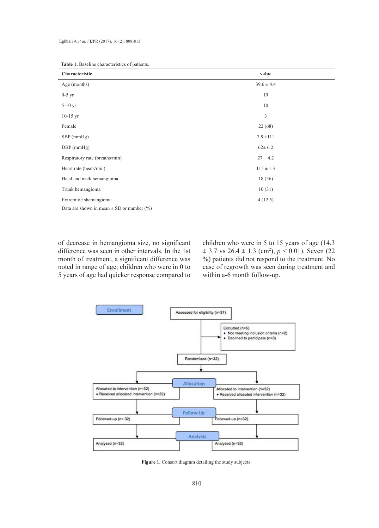| Characteristic                 | value          |
|--------------------------------|----------------|
| Age (months)                   | $39.6 \pm 4.4$ |
| $0-5$ yr                       | 19             |
| $5-10$ yr                      | 10             |
| $10-15$ yr                     | 3              |
| Female                         | 22(68)         |
| $SBP$ (mmHg)                   | $7.9 \pm 111$  |
| $DBP$ (mmHg)                   | $62 \pm 6.2$   |
| Respiratory rate (breaths/min) | $27 \pm 4.2$   |
| Heart rate (beats/min)         | $115 \pm 1.3$  |
| Head and neck hemangioma       | 18(56)         |
| Trunk hemangioma               | 10(31)         |
| Extremitie shemangioma         | 4(12.5)        |

| <b>Table 1.</b> Baseline characteristics of patients. |  |
|-------------------------------------------------------|--|
|-------------------------------------------------------|--|

Data are shown in mean  $\pm$  SD or number (%)

of decrease in hemangioma size, no significant difference was seen in other intervals. In the 1st month of treatment, a significant difference was noted in range of age; children who were in 0 to 5 years of age had quicker response compared to

children who were in 5 to 15 years of age (14.3  $\pm$  3.7 vs 26.4  $\pm$  1.3 (cm<sup>2</sup>),  $p < 0.01$ ). Seven (22) %) patients did not respond to the treatment. No case of regrowth was seen during treatment and within a-6 month follow-up.



Figure 1. Consort diagram detailing the study subjects.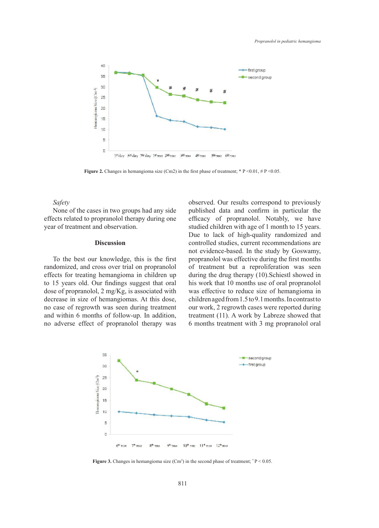

**Figure 2.** Changes in hemangioma size (Cm2) in the first phase of treatment;  $* P < 0.01$ ,  $# P < 0.05$ .

# *Safety*

None of the cases in two groups had any side effects related to propranolol therapy during one year of treatment and observation.

#### **Discussion**

To the best our knowledge, this is the first randomized, and cross over trial on propranolol effects for treating hemangioma in children up to 15 years old. Our findings suggest that oral dose of propranolol, 2 mg/Kg, is associated with decrease in size of hemangiomas. At this dose, no case of regrowth was seen during treatment and within 6 months of follow-up. In addition, no adverse effect of propranolol therapy was observed. Our results correspond to previously published data and confirm in particular the efficacy of propranolol. Notably, we have studied children with age of 1 month to 15 years. Due to lack of high-quality randomized and controlled studies, current recommendations are not evidence-based. In the study by Goswamy, propranolol was effective during the first months of treatment but a reproliferation was seen during the drug therapy (10).Schiestl showed in his work that 10 months use of oral propranolol was effective to reduce size of hemangioma in children aged from 1.5 to 9.1 months. In contrast to our work, 2 regrowth cases were reported during treatment (11). A work by Labreze showed that 6 months treatment with 3 mg propranolol oral



**Figure 3.** Changes in hemangioma size  $(Cm^2)$  in the second phase of treatment;  $P < 0.05$ .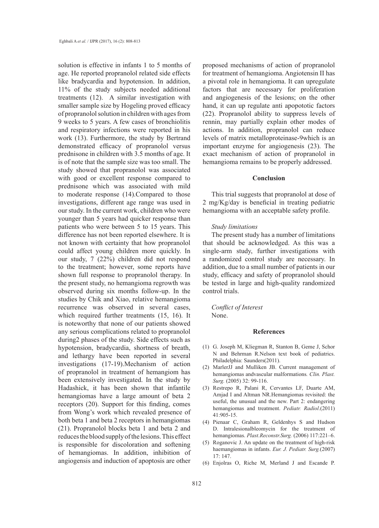solution is effective in infants 1 to 5 months of age. He reported propranolol related side effects like bradycardia and hypotension. In addition, 11% of the study subjects needed additional treatments (12). A similar investigation with smaller sample size by Hogeling proved efficacy of propranolol solution in children with ages from 9 weeks to 5 years. A few cases of bronchiolitis and respiratory infections were reported in his work (13). Furthermore, the study by Bertrand demonstrated efficacy of propranolol versus prednisone in children with 3.5 months of age. It is of note that the sample size was too small. The study showed that propranolol was associated with good or excellent response compared to prednisone which was associated with mild to moderate response (14).Compared to those investigations, different age range was used in our study. In the current work, children who were younger than 5 years had quicker response than patients who were between 5 to 15 years. This difference has not been reported elsewhere. It is not known with certainty that how propranolol could affect young children more quickly. In our study, 7 (22%) children did not respond to the treatment; however, some reports have shown full response to propranolol therapy. In the present study, no hemangioma regrowth was observed during six months follow-up. In the studies by Chik and Xiao, relative hemangioma recurrence was observed in several cases, which required further treatments (15, 16). It is noteworthy that none of our patients showed any serious complications related to propranolol during2 phases of the study. Side effects such as hypotension, bradycardia, shortness of breath, and lethargy have been reported in several investigations (17-19).Mechanism of action of propranolol in treatment of hemangiom has been extensively investigated. In the study by Hadashick, it has been shown that infantile hemangiomas have a large amount of beta 2 receptors (20). Support for this finding, comes from Wong's work which revealed presence of both beta 1 and beta 2 receptors in hemangiomas (21). Propranolol blocks beta 1 and beta 2 and reduces the blood supply of the lesions. This effect is responsible for discoloration and softening of hemangiomas. In addition, inhibition of angiogensis and induction of apoptosis are other

proposed mechanisms of action of propranolol for treatment of hemangioma. Angiotensin II has a pivotal role in hemangioma. It can upregulate factors that are necessary for proliferation and angiogenesis of the lesions; on the other hand, it can up regulate anti apopototic factors (22). Propranolol ability to suppress levels of rennin, may partially explain other modes of actions. In addition, propranolol can reduce levels of matrix metalloproteinase-9which is an important enzyme for angiogenesis (23). The exact mechanism of action of propranolol in hemangioma remains to be properly addressed.

## **Conclusion**

This trial suggests that propranolol at dose of 2 mg/Kg/day is beneficial in treating pediatric hemangioma with an acceptable safety profile.

#### *Study limitations*

The present study has a number of limitations that should be acknowledged. As this was a single-arm study, further investigations with a randomized control study are necessary. In addition, due to a small number of patients in our study, efficacy and safety of propranolol should be tested in large and high-quality randomized control trials.

*Conflict of Interest* None.

## **References**

- G. Joseph M, Kliegman R, Stanton B, Geme J, Schor (1) N and Behrman R.Nelson text book of pediatrics. Philadelphia: Saunders(2011).
- MarlerJJ and Mulliken JB. Current management of (2) hemangiomas andvascular malformations*. Clin. Plast. Surg.* (2005) 32: 99-116.
- (3) Restrepo R, Palani R, Cervantes LF, Duarte AM, Amjad I and Altman NR.Hemangiomas revisited: the useful, the unusual and the new. Part 2: endangering hemangiomas and treatment. *Pediatr. Radiol*.(2011) 41:905-15.
- Pienaar C, Graham R, Geldenhys S and Hudson (4) D. Intralesionalbleomycin for the treatment of hemangiomas. *Plast.Reconstr.Surg.* (2006) 117:221–6.
- (5) Roganovic J. An update on the treatment of high-risk haemangiomas in infants. *Eur. J. Pediatr. Surg.*(2007) 17: 147.
- Enjolras O, Riche M, Merland J and Escande P. (6)